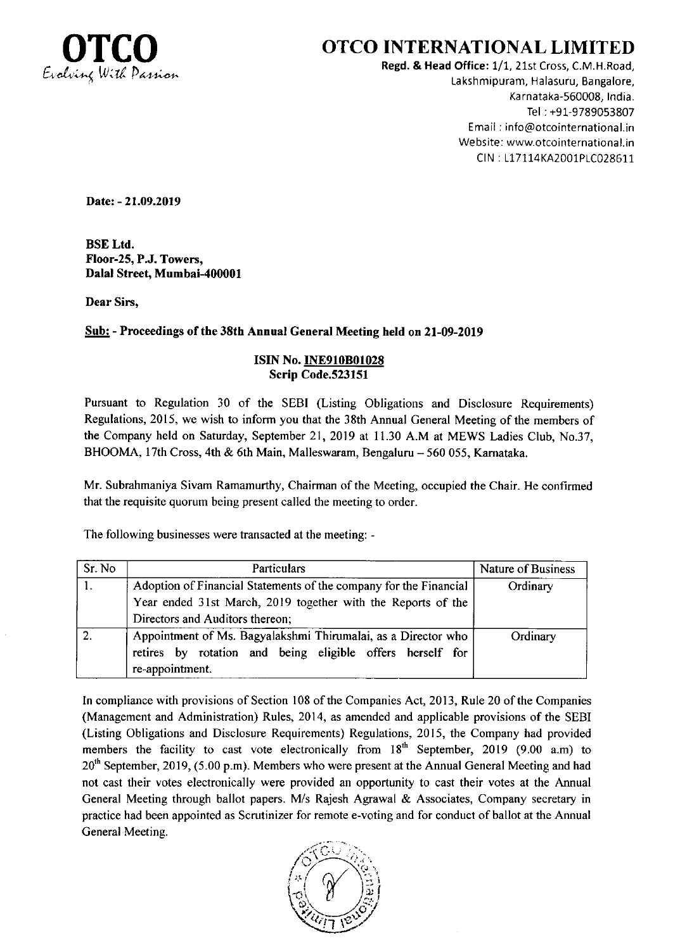

## OTCO INTERNATIONAL LIMITED

Regd. & Head Office: 1/1, 21st Cross, C.M.H.Road, Lakshmipuram, Halasuru, Bangalore, Karnataka-560008, tndia. Tel : +91-9789053807 Email : info@otcointernational.in Website: www.otcointernational.in CtN : 117114KA2001p1C028611

Date: - 21.09.2019

BSE Ltd. Floor-25, P.J. Towers, Dalal Street, Mumbai-400001

Dear Sirs,

## Sub: - Proceedings of the 38th Annual General Meeting held on 21-09-2019

## ISIN No. INE9l0B01028 Scrip Code.523l51

Pursuant to Regulation 30 of the SEBI (Listing Obligations and Disclosure Requirements) Regulations,20l5, we wish to inform you that the 38th Annual General Meeting of the members of the Company held on Saturday, September 21,2019 at 11.30 A.M at MEWS Ladies Club, No.37, BHOOMA, 17th Cross, 4th & 6th Main, Malleswaram, Bengaluru - 560 055, Karnataka.

Mr. Subrahmaniya Sivam Ramamurthy, Chairman of the Meeting, occupied the Chair. He confirmed that the requisite quorum being present called the meeting to order.

The following businesses were transacted at the meeting: -

| Sr. No | <b>Particulars</b>                                                                                                                            | Nature of Business |
|--------|-----------------------------------------------------------------------------------------------------------------------------------------------|--------------------|
|        | Adoption of Financial Statements of the company for the Financial                                                                             | Ordinary           |
|        | Year ended 31st March, 2019 together with the Reports of the                                                                                  |                    |
|        | Directors and Auditors thereon;                                                                                                               |                    |
|        | Appointment of Ms. Bagyalakshmi Thirumalai, as a Director who<br>retires by rotation and being eligible offers herself for<br>re-appointment. | Ordinary           |

In compliance with provisions of Section 108 of the Companies Act, 2013, Rule 20 of the Companies (Management and Administration) Rules, 2014, as amended and applicable provisions of the SEBI (Listing Obligations and Disclosure Requirements) Regulations, 2015, the Company had provided members the facility to cast vote electronically from  $18<sup>th</sup>$  September, 2019 (9.00 a.m) to  $20<sup>th</sup>$  September, 2019, (5.00 p.m). Members who were present at the Annual General Meeting and had not cast their votes electronically were provided an opportunity to cast their votes at the Annual General Meeting through ballot papers. M/s Rajesh Agrawal & Associates, Company secretary in practice had been appointed as Scrutinizer for remote e-voting and for conduct of ballot at the Annual General Meeting.